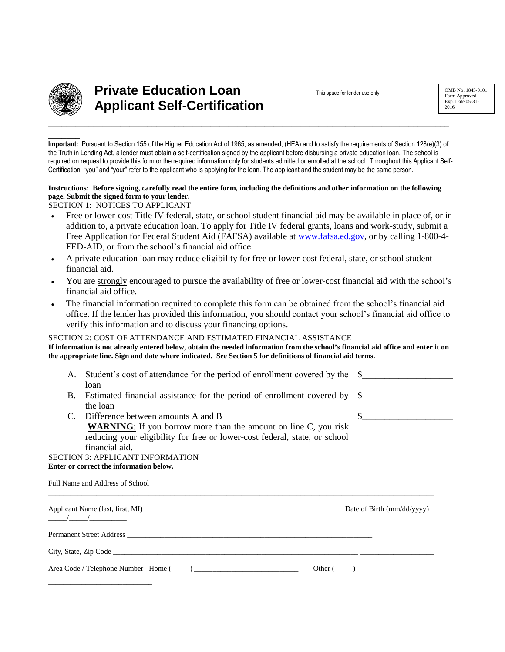

**\_\_\_\_\_\_\_** 

# **Private Education Loan Applicant Self-Certification**

This space for lender use only

**Important:** Pursuant to Section 155 of the Higher Education Act of 1965, as amended, (HEA) and to satisfy the requirements of Section 128(e)(3) of the Truth in Lending Act, a lender must obtain a self-certification signed by the applicant before disbursing a private education loan. The school is required on request to provide this form or the required information only for students admitted or enrolled at the school. Throughout this Applicant Self-Certification, "you" and "your" refer to the applicant who is applying for the loan. The applicant and the student may be the same person.

## **Instructions: Before signing, carefully read the entire form, including the definitions and other information on the following page. Submit the signed form to your lender.**

SECTION 1: NOTICES TO APPLICANT

- Free or lower-cost Title IV federal, state, or school student financial aid may be available in place of, or in addition to, a private education loan. To apply for Title IV federal grants, loans and work-study, submit a Free Application for Federal Student Aid (FAFSA) available at [www.fafsa.ed.gov,](http://www.fafsa.ed.gov/) or by calling 1-800-4- FED-AID, or from the school's financial aid office.
- A private education loan may reduce eligibility for free or lower-cost federal, state, or school student financial aid.
- You are strongly encouraged to pursue the availability of free or lower-cost financial aid with the school's financial aid office.
- The financial information required to complete this form can be obtained from the school's financial aid office. If the lender has provided this information, you should contact your school's financial aid office to verify this information and to discuss your financing options.

#### SECTION 2: COST OF ATTENDANCE AND ESTIMATED FINANCIAL ASSISTANCE **If information is not already entered below, obtain the needed information from the school's financial aid office and enter it on the appropriate line. Sign and date where indicated. See Section 5 for definitions of financial aid terms.**

| А.                                                                                      | Student's cost of attendance for the period of enrollment covered by the                                                                                                                                                       | $\mathbb{S}$               |  |
|-----------------------------------------------------------------------------------------|--------------------------------------------------------------------------------------------------------------------------------------------------------------------------------------------------------------------------------|----------------------------|--|
|                                                                                         | loan                                                                                                                                                                                                                           |                            |  |
| B.                                                                                      | Estimated financial assistance for the period of enrollment covered by                                                                                                                                                         | $\mathbb{S}$               |  |
|                                                                                         | the loan                                                                                                                                                                                                                       |                            |  |
| C.                                                                                      | Difference between amounts A and B                                                                                                                                                                                             | $\sim$ $\sim$              |  |
|                                                                                         | <b>WARNING:</b> If you borrow more than the amount on line C, you risk<br>reducing your eligibility for free or lower-cost federal, state, or school<br>financial aid.                                                         |                            |  |
|                                                                                         | <b>SECTION 3: APPLICANT INFORMATION</b>                                                                                                                                                                                        |                            |  |
|                                                                                         | Enter or correct the information below.                                                                                                                                                                                        |                            |  |
|                                                                                         | Full Name and Address of School                                                                                                                                                                                                |                            |  |
|                                                                                         |                                                                                                                                                                                                                                | Date of Birth (mm/dd/yyyy) |  |
|                                                                                         | Permanent Street Address entry and the contract of the contract of the contract of the contract of the contract of the contract of the contract of the contract of the contract of the contract of the contract of the contrac |                            |  |
|                                                                                         |                                                                                                                                                                                                                                |                            |  |
| $\begin{array}{c} \hline \end{array}$<br>Area Code / Telephone Number Home (<br>Other ( |                                                                                                                                                                                                                                |                            |  |
|                                                                                         |                                                                                                                                                                                                                                |                            |  |